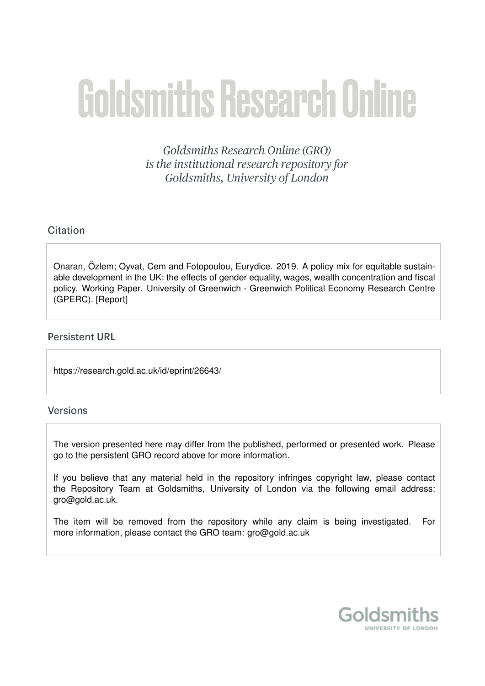# **Goldsmiths Research Online**

Goldsmiths Research Online (GRO) is the institutional research repository for Goldsmiths, University of London

#### Citation

Onaran, Özlem; Oyvat, Cem and Fotopoulou, Eurydice. 2019. A policy mix for equitable sustainable development in the UK: the effects of gender equality, wages, wealth concentration and fiscal policy. Working Paper. University of Greenwich - Greenwich Political Economy Research Centre (GPERC). [Report]

#### **Persistent URL**

https://research.gold.ac.uk/id/eprint/26643/

#### **Versions**

The version presented here may differ from the published, performed or presented work. Please go to the persistent GRO record above for more information.

If you believe that any material held in the repository infringes copyright law, please contact the Repository Team at Goldsmiths, University of London via the following email address: gro@gold.ac.uk.

The item will be removed from the repository while any claim is being investigated. For more information, please contact the GRO team: gro@gold.ac.uk

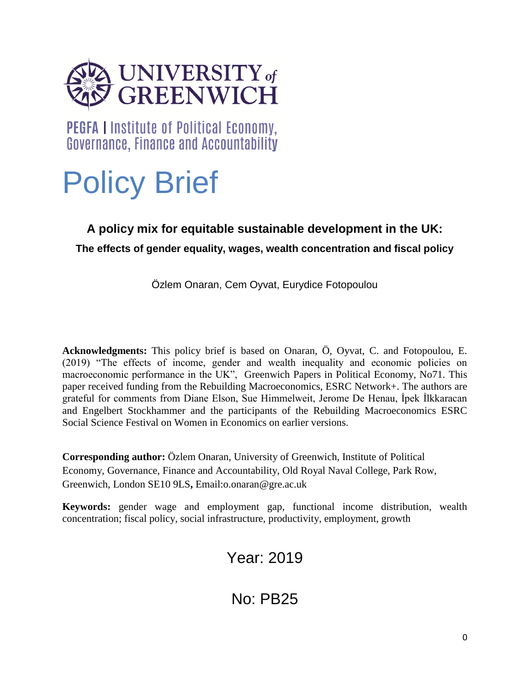

PEGFA I Institute of Political Economy, Governance, Finance and Accountability

# Policy Brief

## **A policy mix for equitable sustainable development in the UK:**

**The effects of gender equality, wages, wealth concentration and fiscal policy**

Özlem Onaran, Cem Oyvat, Eurydice Fotopoulou

**Acknowledgments:** This policy brief is based on Onaran, Ö, Oyvat, C. and Fotopoulou, E. (2019) "The effects of income, gender and wealth inequality and economic policies on macroeconomic performance in the UK", Greenwich Papers in Political Economy, No71. This paper received funding from the Rebuilding Macroeconomics, ESRC Network+. The authors are grateful for comments from Diane Elson, Sue Himmelweit, Jerome De Henau, İpek İlkkaracan and Engelbert Stockhammer and the participants of the Rebuilding Macroeconomics ESRC Social Science Festival on Women in Economics on earlier versions.

**Corresponding author:** Özlem Onaran, University of Greenwich, Institute of Political Economy, Governance, Finance and Accountability, Old Royal Naval College, Park Row, Greenwich, London SE10 9LS**,** Email:o.onaran@gre.ac.uk

**Keywords:** gender wage and employment gap, functional income distribution, wealth concentration; fiscal policy, social infrastructure, productivity, employment, growth

# Year: 2019

No: PB25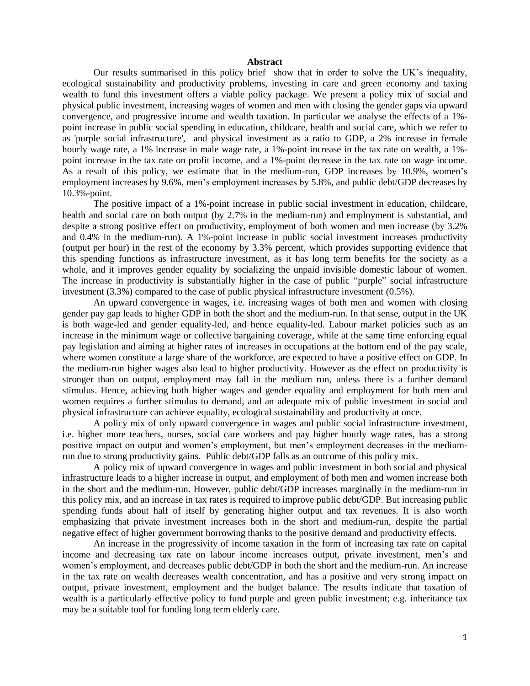#### **Abstract**

Our results summarised in this policy brief show that in order to solve the UK's inequality, ecological sustainability and productivity problems, investing in care and green economy and taxing wealth to fund this investment offers a viable policy package. We present a policy mix of social and physical public investment, increasing wages of women and men with closing the gender gaps via upward convergence, and progressive income and wealth taxation. In particular we analyse the effects of a 1% point increase in public social spending in education, childcare, health and social care, which we refer to as 'purple social infrastructure', and physical investment as a ratio to GDP, a 2% increase in female hourly wage rate, a 1% increase in male wage rate, a 1%-point increase in the tax rate on wealth, a 1%point increase in the tax rate on profit income, and a 1%-point decrease in the tax rate on wage income. As a result of this policy, we estimate that in the medium-run, GDP increases by 10.9%, women's employment increases by 9.6%, men's employment increases by 5.8%, and public debt/GDP decreases by 10.3%-point.

The positive impact of a 1%-point increase in public social investment in education, childcare, health and social care on both output (by 2.7% in the medium-run) and employment is substantial, and despite a strong positive effect on productivity, employment of both women and men increase (by 3.2% and 0.4% in the medium-run). A 1%-point increase in public social investment increases productivity (output per hour) in the rest of the economy by 3.3% percent, which provides supporting evidence that this spending functions as infrastructure investment, as it has long term benefits for the society as a whole, and it improves gender equality by socializing the unpaid invisible domestic labour of women. The increase in productivity is substantially higher in the case of public "purple" social infrastructure investment (3.3%) compared to the case of public physical infrastructure investment (0.5%).

An upward convergence in wages, i.e. increasing wages of both men and women with closing gender pay gap leads to higher GDP in both the short and the medium-run. In that sense, output in the UK is both wage-led and gender equality-led, and hence equality-led. Labour market policies such as an increase in the minimum wage or collective bargaining coverage, while at the same time enforcing equal pay legislation and aiming at higher rates of increases in occupations at the bottom end of the pay scale, where women constitute a large share of the workforce, are expected to have a positive effect on GDP. In the medium-run higher wages also lead to higher productivity. However as the effect on productivity is stronger than on output, employment may fall in the medium run, unless there is a further demand stimulus. Hence, achieving both higher wages and gender equality and employment for both men and women requires a further stimulus to demand, and an adequate mix of public investment in social and physical infrastructure can achieve equality, ecological sustainability and productivity at once.

A policy mix of only upward convergence in wages and public social infrastructure investment, i.e. higher more teachers, nurses, social care workers and pay higher hourly wage rates, has a strong positive impact on output and women's employment, but men's employment decreases in the mediumrun due to strong productivity gains. Public debt/GDP falls as an outcome of this policy mix.

A policy mix of upward convergence in wages and public investment in both social and physical infrastructure leads to a higher increase in output, and employment of both men and women increase both in the short and the medium-run. However, public debt/GDP increases marginally in the medium-run in this policy mix, and an increase in tax rates is required to improve public debt/GDP. But increasing public spending funds about half of itself by generating higher output and tax revenues. It is also worth emphasizing that private investment increases both in the short and medium-run, despite the partial negative effect of higher government borrowing thanks to the positive demand and productivity effects.

An increase in the progressivity of income taxation in the form of increasing tax rate on capital income and decreasing tax rate on labour income increases output, private investment, men's and women's employment, and decreases public debt/GDP in both the short and the medium-run. An increase in the tax rate on wealth decreases wealth concentration, and has a positive and very strong impact on output, private investment, employment and the budget balance. The results indicate that taxation of wealth is a particularly effective policy to fund purple and green public investment; e.g. inheritance tax may be a suitable tool for funding long term elderly care.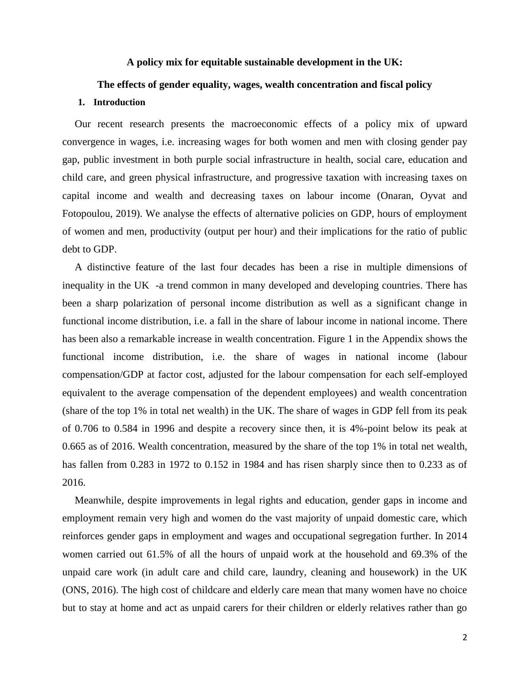#### **A policy mix for equitable sustainable development in the UK:**

#### **The effects of gender equality, wages, wealth concentration and fiscal policy**

#### **1. Introduction**

Our recent research presents the macroeconomic effects of a policy mix of upward convergence in wages, i.e. increasing wages for both women and men with closing gender pay gap, public investment in both purple social infrastructure in health, social care, education and child care, and green physical infrastructure, and progressive taxation with increasing taxes on capital income and wealth and decreasing taxes on labour income (Onaran, Oyvat and Fotopoulou, 2019). We analyse the effects of alternative policies on GDP, hours of employment of women and men, productivity (output per hour) and their implications for the ratio of public debt to GDP.

A distinctive feature of the last four decades has been a rise in multiple dimensions of inequality in the UK -a trend common in many developed and developing countries. There has been a sharp polarization of personal income distribution as well as a significant change in functional income distribution, i.e. a fall in the share of labour income in national income. There has been also a remarkable increase in wealth concentration. Figure 1 in the Appendix shows the functional income distribution, i.e. the share of wages in national income (labour compensation/GDP at factor cost, adjusted for the labour compensation for each self-employed equivalent to the average compensation of the dependent employees) and wealth concentration (share of the top 1% in total net wealth) in the UK. The share of wages in GDP fell from its peak of 0.706 to 0.584 in 1996 and despite a recovery since then, it is 4%-point below its peak at 0.665 as of 2016. Wealth concentration, measured by the share of the top 1% in total net wealth, has fallen from 0.283 in 1972 to 0.152 in 1984 and has risen sharply since then to 0.233 as of 2016.

Meanwhile, despite improvements in legal rights and education, gender gaps in income and employment remain very high and women do the vast majority of unpaid domestic care, which reinforces gender gaps in employment and wages and occupational segregation further. In 2014 women carried out 61.5% of all the hours of unpaid work at the household and 69.3% of the unpaid care work (in adult care and child care, laundry, cleaning and housework) in the UK (ONS, 2016). The high cost of childcare and elderly care mean that many women have no choice but to stay at home and act as unpaid carers for their children or elderly relatives rather than go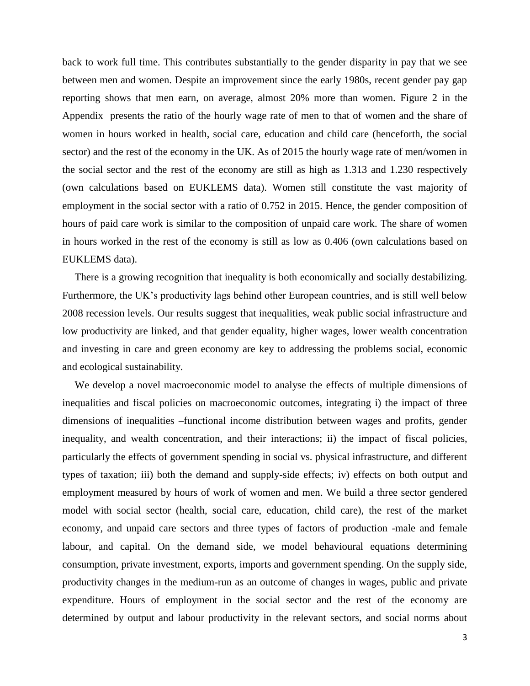back to work full time. This contributes substantially to the gender disparity in pay that we see between men and women. Despite an improvement since the early 1980s, recent gender pay gap reporting shows that men earn, on average, almost 20% more than women. Figure 2 in the Appendix presents the ratio of the hourly wage rate of men to that of women and the share of women in hours worked in health, social care, education and child care (henceforth, the social sector) and the rest of the economy in the UK. As of 2015 the hourly wage rate of men/women in the social sector and the rest of the economy are still as high as 1.313 and 1.230 respectively (own calculations based on EUKLEMS data). Women still constitute the vast majority of employment in the social sector with a ratio of 0.752 in 2015. Hence, the gender composition of hours of paid care work is similar to the composition of unpaid care work. The share of women in hours worked in the rest of the economy is still as low as 0.406 (own calculations based on EUKLEMS data).

There is a growing recognition that inequality is both economically and socially destabilizing. Furthermore, the UK's productivity lags behind other European countries, and is still well below 2008 recession levels. Our results suggest that inequalities, weak public social infrastructure and low productivity are linked, and that gender equality, higher wages, lower wealth concentration and investing in care and green economy are key to addressing the problems social, economic and ecological sustainability.

We develop a novel macroeconomic model to analyse the effects of multiple dimensions of inequalities and fiscal policies on macroeconomic outcomes, integrating i) the impact of three dimensions of inequalities –functional income distribution between wages and profits, gender inequality, and wealth concentration, and their interactions; ii) the impact of fiscal policies, particularly the effects of government spending in social vs. physical infrastructure, and different types of taxation; iii) both the demand and supply-side effects; iv) effects on both output and employment measured by hours of work of women and men. We build a three sector gendered model with social sector (health, social care, education, child care), the rest of the market economy, and unpaid care sectors and three types of factors of production -male and female labour, and capital. On the demand side, we model behavioural equations determining consumption, private investment, exports, imports and government spending. On the supply side, productivity changes in the medium-run as an outcome of changes in wages, public and private expenditure. Hours of employment in the social sector and the rest of the economy are determined by output and labour productivity in the relevant sectors, and social norms about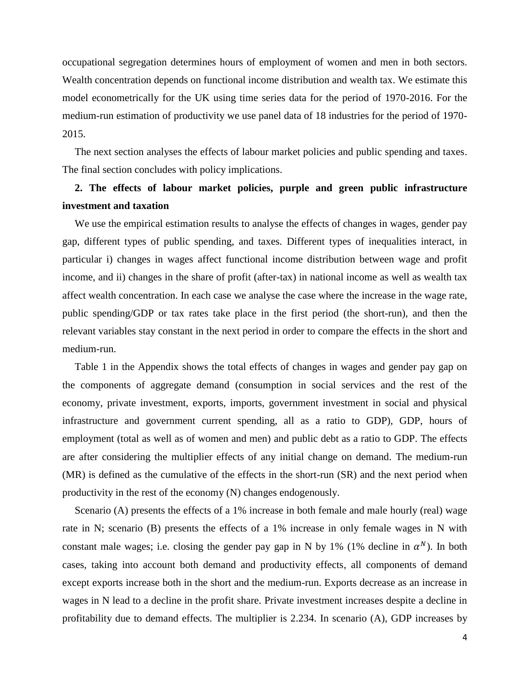occupational segregation determines hours of employment of women and men in both sectors. Wealth concentration depends on functional income distribution and wealth tax. We estimate this model econometrically for the UK using time series data for the period of 1970-2016. For the medium-run estimation of productivity we use panel data of 18 industries for the period of 1970- 2015.

The next section analyses the effects of labour market policies and public spending and taxes. The final section concludes with policy implications.

### **2. The effects of labour market policies, purple and green public infrastructure investment and taxation**

We use the empirical estimation results to analyse the effects of changes in wages, gender pay gap, different types of public spending, and taxes. Different types of inequalities interact, in particular i) changes in wages affect functional income distribution between wage and profit income, and ii) changes in the share of profit (after-tax) in national income as well as wealth tax affect wealth concentration. In each case we analyse the case where the increase in the wage rate, public spending/GDP or tax rates take place in the first period (the short-run), and then the relevant variables stay constant in the next period in order to compare the effects in the short and medium-run.

Table 1 in the Appendix shows the total effects of changes in wages and gender pay gap on the components of aggregate demand (consumption in social services and the rest of the economy, private investment, exports, imports, government investment in social and physical infrastructure and government current spending, all as a ratio to GDP), GDP, hours of employment (total as well as of women and men) and public debt as a ratio to GDP. The effects are after considering the multiplier effects of any initial change on demand. The medium-run (MR) is defined as the cumulative of the effects in the short-run (SR) and the next period when productivity in the rest of the economy (N) changes endogenously.

Scenario (A) presents the effects of a 1% increase in both female and male hourly (real) wage rate in N; scenario (B) presents the effects of a 1% increase in only female wages in N with constant male wages; i.e. closing the gender pay gap in N by 1% (1% decline in  $\alpha^N$ ). In both cases, taking into account both demand and productivity effects, all components of demand except exports increase both in the short and the medium-run. Exports decrease as an increase in wages in N lead to a decline in the profit share. Private investment increases despite a decline in profitability due to demand effects. The multiplier is 2.234. In scenario (A), GDP increases by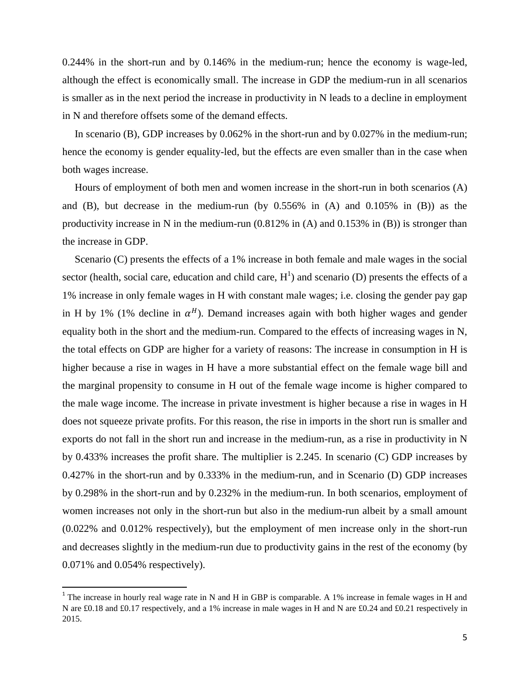0.244% in the short-run and by 0.146% in the medium-run; hence the economy is wage-led, although the effect is economically small. The increase in GDP the medium-run in all scenarios is smaller as in the next period the increase in productivity in N leads to a decline in employment in N and therefore offsets some of the demand effects.

In scenario (B), GDP increases by 0.062% in the short-run and by 0.027% in the medium-run; hence the economy is gender equality-led, but the effects are even smaller than in the case when both wages increase.

Hours of employment of both men and women increase in the short-run in both scenarios (A) and (B), but decrease in the medium-run (by 0.556% in (A) and 0.105% in (B)) as the productivity increase in N in the medium-run (0.812% in (A) and 0.153% in (B)) is stronger than the increase in GDP.

Scenario (C) presents the effects of a 1% increase in both female and male wages in the social sector (health, social care, education and child care,  $H<sup>1</sup>$ ) and scenario (D) presents the effects of a 1% increase in only female wages in H with constant male wages; i.e. closing the gender pay gap in H by 1% (1% decline in  $\alpha^H$ ). Demand increases again with both higher wages and gender equality both in the short and the medium-run. Compared to the effects of increasing wages in N, the total effects on GDP are higher for a variety of reasons: The increase in consumption in H is higher because a rise in wages in H have a more substantial effect on the female wage bill and the marginal propensity to consume in H out of the female wage income is higher compared to the male wage income. The increase in private investment is higher because a rise in wages in H does not squeeze private profits. For this reason, the rise in imports in the short run is smaller and exports do not fall in the short run and increase in the medium-run, as a rise in productivity in N by 0.433% increases the profit share. The multiplier is 2.245. In scenario (C) GDP increases by 0.427% in the short-run and by 0.333% in the medium-run, and in Scenario (D) GDP increases by 0.298% in the short-run and by 0.232% in the medium-run. In both scenarios, employment of women increases not only in the short-run but also in the medium-run albeit by a small amount (0.022% and 0.012% respectively), but the employment of men increase only in the short-run and decreases slightly in the medium-run due to productivity gains in the rest of the economy (by 0.071% and 0.054% respectively).

l

<sup>&</sup>lt;sup>1</sup> The increase in hourly real wage rate in N and H in GBP is comparable. A 1% increase in female wages in H and N are £0.18 and £0.17 respectively, and a 1% increase in male wages in H and N are £0.24 and £0.21 respectively in 2015.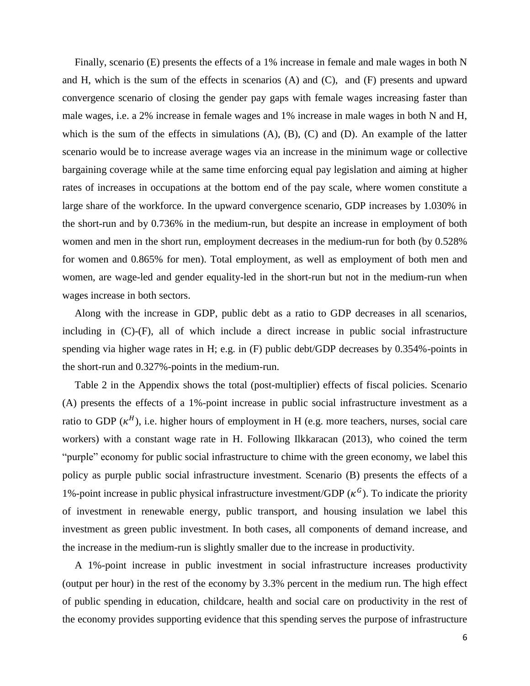Finally, scenario (E) presents the effects of a 1% increase in female and male wages in both N and H, which is the sum of the effects in scenarios (A) and (C), and (F) presents and upward convergence scenario of closing the gender pay gaps with female wages increasing faster than male wages, i.e. a 2% increase in female wages and 1% increase in male wages in both N and H, which is the sum of the effects in simulations (A), (B), (C) and (D). An example of the latter scenario would be to increase average wages via an increase in the minimum wage or collective bargaining coverage while at the same time enforcing equal pay legislation and aiming at higher rates of increases in occupations at the bottom end of the pay scale, where women constitute a large share of the workforce. In the upward convergence scenario, GDP increases by 1.030% in the short-run and by 0.736% in the medium-run, but despite an increase in employment of both women and men in the short run, employment decreases in the medium-run for both (by 0.528% for women and 0.865% for men). Total employment, as well as employment of both men and women, are wage-led and gender equality-led in the short-run but not in the medium-run when wages increase in both sectors.

Along with the increase in GDP, public debt as a ratio to GDP decreases in all scenarios, including in (C)-(F), all of which include a direct increase in public social infrastructure spending via higher wage rates in H; e.g. in (F) public debt/GDP decreases by 0.354%-points in the short-run and 0.327%-points in the medium-run.

Table 2 in the Appendix shows the total (post-multiplier) effects of fiscal policies. Scenario (A) presents the effects of a 1%-point increase in public social infrastructure investment as a ratio to GDP  $(\kappa^H)$ , i.e. higher hours of employment in H (e.g. more teachers, nurses, social care workers) with a constant wage rate in H. Following Ilkkaracan (2013), who coined the term "purple" economy for public social infrastructure to chime with the green economy, we label this policy as purple public social infrastructure investment. Scenario (B) presents the effects of a 1%-point increase in public physical infrastructure investment/GDP  $(\kappa^G)$ . To indicate the priority of investment in renewable energy, public transport, and housing insulation we label this investment as green public investment. In both cases, all components of demand increase, and the increase in the medium-run is slightly smaller due to the increase in productivity.

A 1%-point increase in public investment in social infrastructure increases productivity (output per hour) in the rest of the economy by 3.3% percent in the medium run. The high effect of public spending in education, childcare, health and social care on productivity in the rest of the economy provides supporting evidence that this spending serves the purpose of infrastructure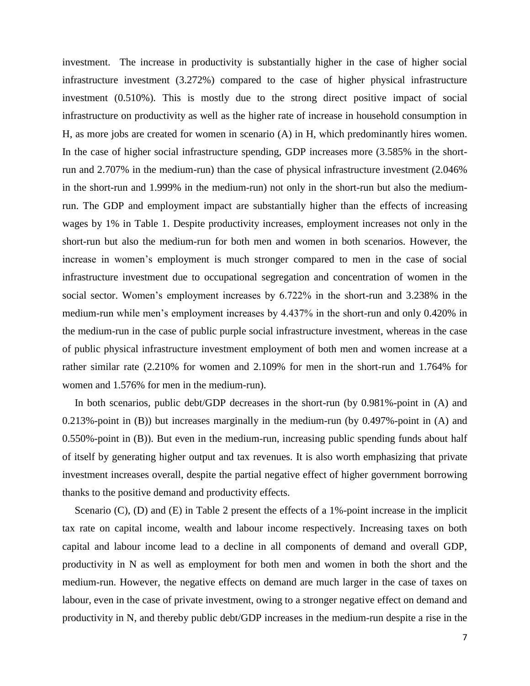investment. The increase in productivity is substantially higher in the case of higher social infrastructure investment (3.272%) compared to the case of higher physical infrastructure investment (0.510%). This is mostly due to the strong direct positive impact of social infrastructure on productivity as well as the higher rate of increase in household consumption in H, as more jobs are created for women in scenario (A) in H, which predominantly hires women. In the case of higher social infrastructure spending, GDP increases more (3.585% in the shortrun and 2.707% in the medium-run) than the case of physical infrastructure investment (2.046% in the short-run and 1.999% in the medium-run) not only in the short-run but also the mediumrun. The GDP and employment impact are substantially higher than the effects of increasing wages by 1% in Table 1. Despite productivity increases, employment increases not only in the short-run but also the medium-run for both men and women in both scenarios. However, the increase in women's employment is much stronger compared to men in the case of social infrastructure investment due to occupational segregation and concentration of women in the social sector. Women's employment increases by 6.722% in the short-run and 3.238% in the medium-run while men's employment increases by 4.437% in the short-run and only 0.420% in the medium-run in the case of public purple social infrastructure investment, whereas in the case of public physical infrastructure investment employment of both men and women increase at a rather similar rate (2.210% for women and 2.109% for men in the short-run and 1.764% for women and 1.576% for men in the medium-run).

In both scenarios, public debt/GDP decreases in the short-run (by 0.981%-point in (A) and 0.213%-point in (B)) but increases marginally in the medium-run (by 0.497%-point in (A) and 0.550%-point in (B)). But even in the medium-run, increasing public spending funds about half of itself by generating higher output and tax revenues. It is also worth emphasizing that private investment increases overall, despite the partial negative effect of higher government borrowing thanks to the positive demand and productivity effects.

Scenario (C), (D) and (E) in Table 2 present the effects of a 1%-point increase in the implicit tax rate on capital income, wealth and labour income respectively. Increasing taxes on both capital and labour income lead to a decline in all components of demand and overall GDP, productivity in N as well as employment for both men and women in both the short and the medium-run. However, the negative effects on demand are much larger in the case of taxes on labour, even in the case of private investment, owing to a stronger negative effect on demand and productivity in N, and thereby public debt/GDP increases in the medium-run despite a rise in the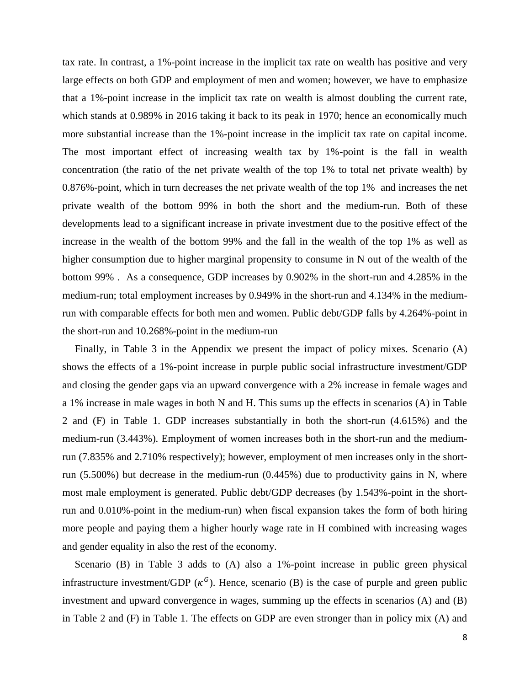tax rate. In contrast, a 1%-point increase in the implicit tax rate on wealth has positive and very large effects on both GDP and employment of men and women; however, we have to emphasize that a 1%-point increase in the implicit tax rate on wealth is almost doubling the current rate, which stands at 0.989% in 2016 taking it back to its peak in 1970; hence an economically much more substantial increase than the 1%-point increase in the implicit tax rate on capital income. The most important effect of increasing wealth tax by 1%-point is the fall in wealth concentration (the ratio of the net private wealth of the top 1% to total net private wealth) by 0.876%-point, which in turn decreases the net private wealth of the top 1% and increases the net private wealth of the bottom 99% in both the short and the medium-run. Both of these developments lead to a significant increase in private investment due to the positive effect of the increase in the wealth of the bottom 99% and the fall in the wealth of the top 1% as well as higher consumption due to higher marginal propensity to consume in N out of the wealth of the bottom 99% . As a consequence, GDP increases by 0.902% in the short-run and 4.285% in the medium-run; total employment increases by 0.949% in the short-run and 4.134% in the mediumrun with comparable effects for both men and women. Public debt/GDP falls by 4.264%-point in the short-run and 10.268%-point in the medium-run

Finally, in Table 3 in the Appendix we present the impact of policy mixes. Scenario (A) shows the effects of a 1%-point increase in purple public social infrastructure investment/GDP and closing the gender gaps via an upward convergence with a 2% increase in female wages and a 1% increase in male wages in both N and H. This sums up the effects in scenarios (A) in Table 2 and (F) in Table 1. GDP increases substantially in both the short-run (4.615%) and the medium-run (3.443%). Employment of women increases both in the short-run and the mediumrun (7.835% and 2.710% respectively); however, employment of men increases only in the shortrun (5.500%) but decrease in the medium-run (0.445%) due to productivity gains in N, where most male employment is generated. Public debt/GDP decreases (by 1.543%-point in the shortrun and 0.010%-point in the medium-run) when fiscal expansion takes the form of both hiring more people and paying them a higher hourly wage rate in H combined with increasing wages and gender equality in also the rest of the economy.

Scenario (B) in Table 3 adds to (A) also a 1%-point increase in public green physical infrastructure investment/GDP  $(\kappa^G)$ . Hence, scenario (B) is the case of purple and green public investment and upward convergence in wages, summing up the effects in scenarios (A) and (B) in Table 2 and (F) in Table 1. The effects on GDP are even stronger than in policy mix (A) and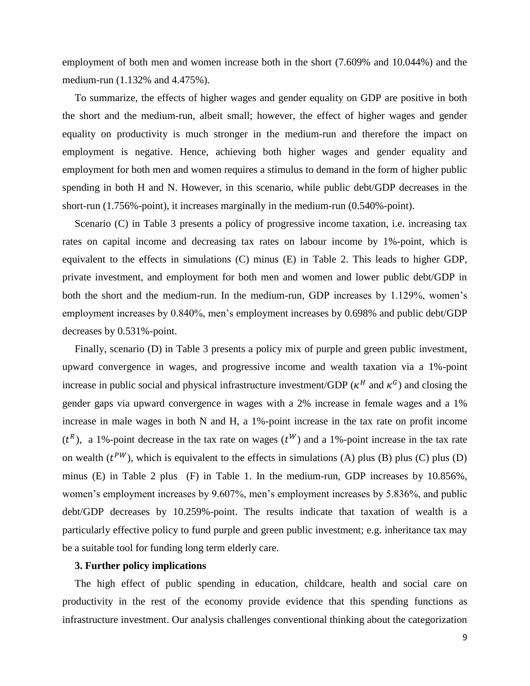employment of both men and women increase both in the short (7.609% and 10.044%) and the medium-run (1.132% and 4.475%).

To summarize, the effects of higher wages and gender equality on GDP are positive in both the short and the medium-run, albeit small; however, the effect of higher wages and gender equality on productivity is much stronger in the medium-run and therefore the impact on employment is negative. Hence, achieving both higher wages and gender equality and employment for both men and women requires a stimulus to demand in the form of higher public spending in both H and N. However, in this scenario, while public debt/GDP decreases in the short-run (1.756%-point), it increases marginally in the medium-run (0.540%-point).

Scenario (C) in Table 3 presents a policy of progressive income taxation, i.e. increasing tax rates on capital income and decreasing tax rates on labour income by 1%-point, which is equivalent to the effects in simulations (C) minus (E) in Table 2. This leads to higher GDP, private investment, and employment for both men and women and lower public debt/GDP in both the short and the medium-run. In the medium-run, GDP increases by 1.129%, women's employment increases by 0.840%, men's employment increases by 0.698% and public debt/GDP decreases by 0.531%-point.

Finally, scenario (D) in Table 3 presents a policy mix of purple and green public investment, upward convergence in wages, and progressive income and wealth taxation via a 1%-point increase in public social and physical infrastructure investment/GDP ( $\kappa^H$  and  $\kappa^G$ ) and closing the gender gaps via upward convergence in wages with a 2% increase in female wages and a 1% increase in male wages in both N and H, a 1%-point increase in the tax rate on profit income  $(t^R)$ , a 1%-point decrease in the tax rate on wages  $(t^W)$  and a 1%-point increase in the tax rate on wealth  $(t^{PW})$ , which is equivalent to the effects in simulations (A) plus (B) plus (C) plus (D) minus (E) in Table 2 plus (F) in Table 1. In the medium-run, GDP increases by 10.856%, women's employment increases by 9.607%, men's employment increases by 5.836%, and public debt/GDP decreases by 10.259%-point. The results indicate that taxation of wealth is a particularly effective policy to fund purple and green public investment; e.g. inheritance tax may be a suitable tool for funding long term elderly care.

#### **3. Further policy implications**

The high effect of public spending in education, childcare, health and social care on productivity in the rest of the economy provide evidence that this spending functions as infrastructure investment. Our analysis challenges conventional thinking about the categorization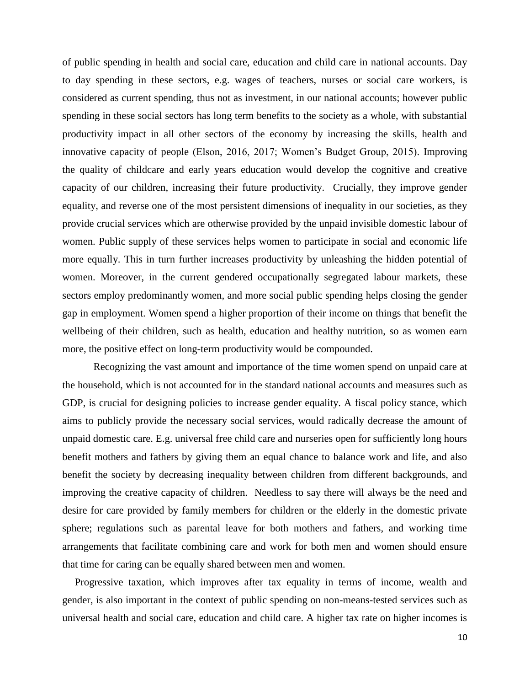of public spending in health and social care, education and child care in national accounts. Day to day spending in these sectors, e.g. wages of teachers, nurses or social care workers, is considered as current spending, thus not as investment, in our national accounts; however public spending in these social sectors has long term benefits to the society as a whole, with substantial productivity impact in all other sectors of the economy by increasing the skills, health and innovative capacity of people (Elson, 2016, 2017; Women's Budget Group, 2015). Improving the quality of childcare and early years education would develop the cognitive and creative capacity of our children, increasing their future productivity. Crucially, they improve gender equality, and reverse one of the most persistent dimensions of inequality in our societies, as they provide crucial services which are otherwise provided by the unpaid invisible domestic labour of women. Public supply of these services helps women to participate in social and economic life more equally. This in turn further increases productivity by unleashing the hidden potential of women. Moreover, in the current gendered occupationally segregated labour markets, these sectors employ predominantly women, and more social public spending helps closing the gender gap in employment. Women spend a higher proportion of their income on things that benefit the wellbeing of their children, such as health, education and healthy nutrition, so as women earn more, the positive effect on long-term productivity would be compounded.

Recognizing the vast amount and importance of the time women spend on unpaid care at the household, which is not accounted for in the standard national accounts and measures such as GDP, is crucial for designing policies to increase gender equality. A fiscal policy stance, which aims to publicly provide the necessary social services, would radically decrease the amount of unpaid domestic care. E.g. universal free child care and nurseries open for sufficiently long hours benefit mothers and fathers by giving them an equal chance to balance work and life, and also benefit the society by decreasing inequality between children from different backgrounds, and improving the creative capacity of children. Needless to say there will always be the need and desire for care provided by family members for children or the elderly in the domestic private sphere; regulations such as parental leave for both mothers and fathers, and working time arrangements that facilitate combining care and work for both men and women should ensure that time for caring can be equally shared between men and women.

Progressive taxation, which improves after tax equality in terms of income, wealth and gender, is also important in the context of public spending on non-means-tested services such as universal health and social care, education and child care. A higher tax rate on higher incomes is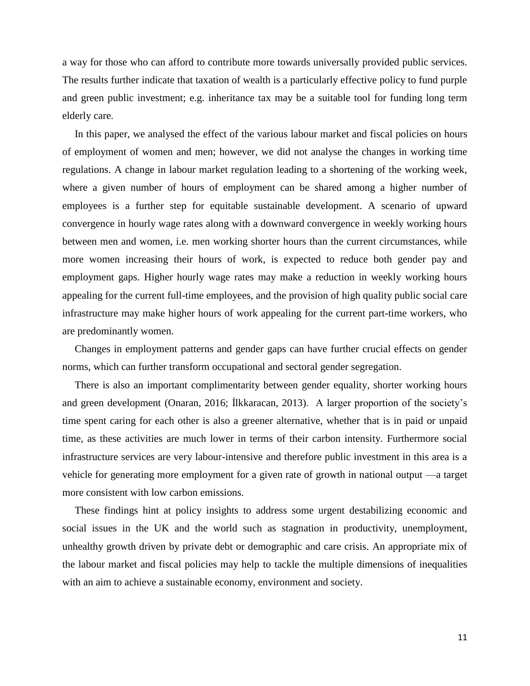a way for those who can afford to contribute more towards universally provided public services. The results further indicate that taxation of wealth is a particularly effective policy to fund purple and green public investment; e.g. inheritance tax may be a suitable tool for funding long term elderly care.

In this paper, we analysed the effect of the various labour market and fiscal policies on hours of employment of women and men; however, we did not analyse the changes in working time regulations. A change in labour market regulation leading to a shortening of the working week, where a given number of hours of employment can be shared among a higher number of employees is a further step for equitable sustainable development. A scenario of upward convergence in hourly wage rates along with a downward convergence in weekly working hours between men and women, i.e. men working shorter hours than the current circumstances, while more women increasing their hours of work, is expected to reduce both gender pay and employment gaps. Higher hourly wage rates may make a reduction in weekly working hours appealing for the current full-time employees, and the provision of high quality public social care infrastructure may make higher hours of work appealing for the current part-time workers, who are predominantly women.

Changes in employment patterns and gender gaps can have further crucial effects on gender norms, which can further transform occupational and sectoral gender segregation.

There is also an important complimentarity between gender equality, shorter working hours and green development (Onaran, 2016; İlkkaracan, 2013). A larger proportion of the society's time spent caring for each other is also a greener alternative, whether that is in paid or unpaid time, as these activities are much lower in terms of their carbon intensity. Furthermore social infrastructure services are very labour-intensive and therefore public investment in this area is a vehicle for generating more employment for a given rate of growth in national output —a target more consistent with low carbon emissions.

These findings hint at policy insights to address some urgent destabilizing economic and social issues in the UK and the world such as stagnation in productivity, unemployment, unhealthy growth driven by private debt or demographic and care crisis. An appropriate mix of the labour market and fiscal policies may help to tackle the multiple dimensions of inequalities with an aim to achieve a sustainable economy, environment and society.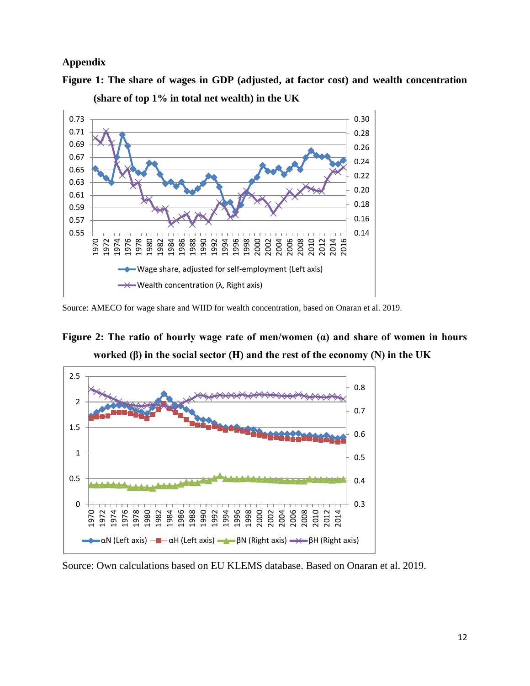#### **Appendix**

**Figure 1: The share of wages in GDP (adjusted, at factor cost) and wealth concentration** 



**(share of top 1% in total net wealth) in the UK**

**Figure 2: The ratio of hourly wage rate of men/women (α) and share of women in hours worked (β) in the social sector (H) and the rest of the economy (N) in the UK**



Source: Own calculations based on EU KLEMS database. Based on Onaran et al. 2019.

Source: AMECO for wage share and WIID for wealth concentration, based on Onaran et al. 2019.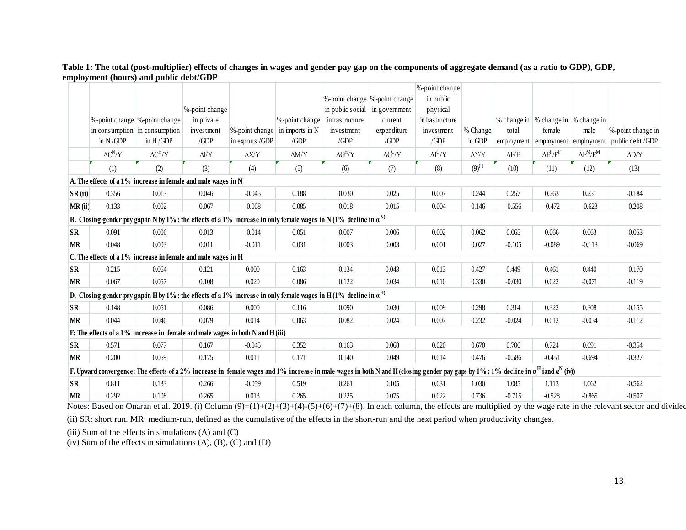#### **Table 1: The total (post-multiplier) effects of changes in wages and gender pay gap on the components of aggregate demand (as a ratio to GDP), GDP, employment (hours) and public debt/GDP**

|           |                                |                |                                                                                                                                                                                                  |                 |                 |                                        |                | %-point change |              |              |                                         |                      |                   |
|-----------|--------------------------------|----------------|--------------------------------------------------------------------------------------------------------------------------------------------------------------------------------------------------|-----------------|-----------------|----------------------------------------|----------------|----------------|--------------|--------------|-----------------------------------------|----------------------|-------------------|
|           |                                |                |                                                                                                                                                                                                  |                 |                 | %-point change  %-point change         |                | in public      |              |              |                                         |                      |                   |
|           |                                |                | %-point change                                                                                                                                                                                   |                 |                 | in public social $\vert$ in government |                | physical       |              |              |                                         |                      |                   |
|           | %-point change  %-point change |                | in private                                                                                                                                                                                       |                 | %-point change  | infrastructure                         | current        | infrastructure |              |              | % change in   % change in   % change in |                      |                   |
|           | in consumption in consumption  |                | investment                                                                                                                                                                                       | %-point change  | in imports in N | investment                             | expenditure    | investment     | % Change     | total        | female                                  | male                 | %-point change in |
|           | in $N/GDP$                     | in $H/GDP$     | /GDP                                                                                                                                                                                             | in exports /GDP | /GDP            | /GDP                                   | /GDP           | /GDP           | in GDP       |              | employment employment employment        |                      | public debt /GDP  |
|           | $\Delta C^N/Y$                 | $\Delta C^H/Y$ | $\Delta I/Y$                                                                                                                                                                                     | $\Delta$ X/Y    | $\Delta M/Y$    | $\Delta G^H/Y$                         | $\Delta G^C/Y$ | $\Delta I^G/Y$ | $\Delta Y/Y$ | $\Delta E/E$ | $\Delta E^F/E^F$                        | $\Delta E^{M}/E^{M}$ | $\Delta$ D/Y      |
|           | (1)                            | (2)            | (3)                                                                                                                                                                                              | (4)             | (5)             | (6)                                    | (7)            | (8)            | $(9)^{(i)}$  | (10)         | (11)                                    | (12)                 | (13)              |
|           |                                |                | A. The effects of a 1% increase in female and male wages in N                                                                                                                                    |                 |                 |                                        |                |                |              |              |                                         |                      |                   |
| SR(ii)    | 0.356                          | 0.013          | 0.046                                                                                                                                                                                            | $-0.045$        | 0.188           | 0.030                                  | 0.025          | 0.007          | 0.244        | 0.257        | 0.263                                   | 0.251                | $-0.184$          |
| MR(i)     | 0.133                          | 0.002          | 0.067                                                                                                                                                                                            | $-0.008$        | 0.085           | 0.018                                  | 0.015          | 0.004          | 0.146        | $-0.556$     | $-0.472$                                | $-0.623$             | $-0.208$          |
|           |                                |                | B. Closing gender pay gap in N by 1% : the effects of a 1% increase in only female wages in N (1% decline in $\alpha^{N}$ )                                                                      |                 |                 |                                        |                |                |              |              |                                         |                      |                   |
| <b>SR</b> | 0.091                          | 0.006          | 0.013                                                                                                                                                                                            | $-0.014$        | 0.051           | 0.007                                  | 0.006          | 0.002          | 0.062        | 0.065        | 0.066                                   | 0.063                | $-0.053$          |
| <b>MR</b> | 0.048                          | 0.003          | 0.011                                                                                                                                                                                            | $-0.011$        | 0.031           | 0.003                                  | 0.003          | 0.001          | 0.027        | $-0.105$     | $-0.089$                                | $-0.118$             | $-0.069$          |
|           |                                |                | C. The effects of a 1% increase in female and male wages in H                                                                                                                                    |                 |                 |                                        |                |                |              |              |                                         |                      |                   |
| <b>SR</b> | 0.215                          | 0.064          | 0.121                                                                                                                                                                                            | 0.000           | 0.163           | 0.134                                  | 0.043          | 0.013          | 0.427        | 0.449        | 0.461                                   | 0.440                | $-0.170$          |
| <b>MR</b> | 0.067                          | 0.057          | 0.108                                                                                                                                                                                            | 0.020           | 0.086           | 0.122                                  | 0.034          | 0.010          | 0.330        | $-0.030$     | 0.022                                   | $-0.071$             | $-0.119$          |
|           |                                |                | D. Closing gender pay gap in H by 1% : the effects of a 1% increase in only female wages in H(1% decline in $\alpha^{\rm H}$ )                                                                   |                 |                 |                                        |                |                |              |              |                                         |                      |                   |
| <b>SR</b> | 0.148                          | 0.051          | 0.086                                                                                                                                                                                            | 0.000           | 0.116           | 0.090                                  | 0.030          | 0.009          | 0.298        | 0.314        | 0.322                                   | 0.308                | $-0.155$          |
| <b>MR</b> | 0.044                          | 0.046          | 0.079                                                                                                                                                                                            | 0.014           | 0.063           | 0.082                                  | 0.024          | 0.007          | 0.232        | $-0.024$     | 0.012                                   | $-0.054$             | $-0.112$          |
|           |                                |                | E: The effects of a 1% increase in female and male wages in both N and H (iii)                                                                                                                   |                 |                 |                                        |                |                |              |              |                                         |                      |                   |
| <b>SR</b> | 0.571                          | 0.077          | 0.167                                                                                                                                                                                            | $-0.045$        | 0.352           | 0.163                                  | 0.068          | 0.020          | 0.670        | 0.706        | 0.724                                   | 0.691                | $-0.354$          |
| <b>MR</b> | 0.200                          | 0.059          | 0.175                                                                                                                                                                                            | 0.011           | 0.171           | 0.140                                  | 0.049          | 0.014          | 0.476        | $-0.586$     | $-0.451$                                | $-0.694$             | $-0.327$          |
|           |                                |                | F. Upward convergence: The effects of a 2% increase in female wages and 1% increase in male wages in both N and H (closing gender pay gaps by 1%; 1% decline in $\alpha^H$ iand $\alpha^N$ (iv)) |                 |                 |                                        |                |                |              |              |                                         |                      |                   |
| <b>SR</b> | 0.811                          | 0.133          | 0.266                                                                                                                                                                                            | $-0.059$        | 0.519           | 0.261                                  | 0.105          | 0.031          | 1.030        | 1.085        | 1.113                                   | 1.062                | $-0.562$          |
| <b>MR</b> | 0.292                          | 0.108          | 0.265                                                                                                                                                                                            | 0.013           | 0.265           | 0.225                                  | 0.075          | 0.022          | 0.736        | $-0.715$     | $-0.528$                                | $-0.865$             | $-0.507$          |

Notes: Based on Onaran et al. 2019. (i) Column  $(9)=(1)+(2)+(3)+(4)-(5)+(6)+(7)+(8)$ . In each column, the effects are multiplied by the wage rate in the relevant sector and divided

(ii) SR: short run. MR: medium-run, defined as the cumulative of the effects in the short-run and the next period when productivity changes.

(iii) Sum of the effects in simulations  $(A)$  and  $(C)$ 

(iv) Sum of the effects in simulations (A), (B), (C) and (D)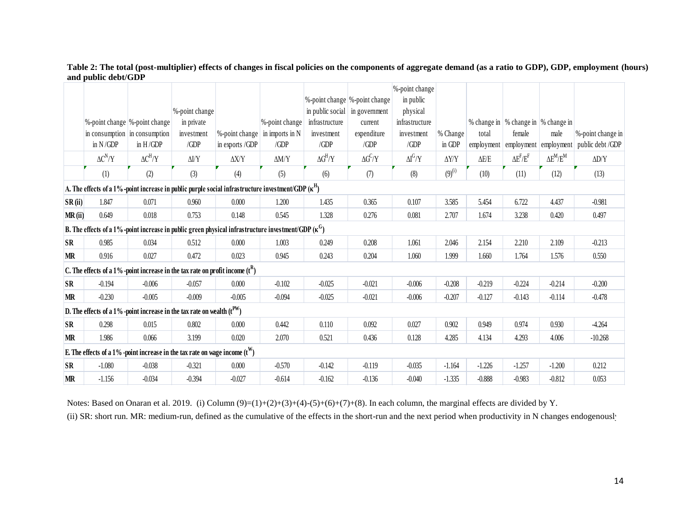**Table 2: The total (post-multiplier) effects of changes in fiscal policies on the components of aggregate demand (as a ratio to GDP), GDP, employment (hours) and public debt/GDP**

|                                                                             |                                                                                                                   |                |                |                                        |                |                                |                | %-point change |              |              |                                       |                      |                   |  |  |
|-----------------------------------------------------------------------------|-------------------------------------------------------------------------------------------------------------------|----------------|----------------|----------------------------------------|----------------|--------------------------------|----------------|----------------|--------------|--------------|---------------------------------------|----------------------|-------------------|--|--|
|                                                                             |                                                                                                                   |                |                |                                        |                | %-point change  %-point change |                | in public      |              |              |                                       |                      |                   |  |  |
|                                                                             |                                                                                                                   |                | %-point change |                                        |                | in public social in government |                | physical       |              |              |                                       |                      |                   |  |  |
|                                                                             | %-point change  %-point change                                                                                    |                | in private     |                                        | %-point change | infrastructure                 | current        | infrastructure |              |              | % change in  % change in  % change in |                      |                   |  |  |
|                                                                             | in consumption in consumption                                                                                     |                | investment     | %-point change $\vert$ in imports in N |                | investment                     | expenditure    | investment     | % Change     | total        | female                                | male                 | %-point change in |  |  |
|                                                                             | in $N/GDP$                                                                                                        | in $H/GDP$     | /GDP           | in exports /GDP                        | /GDP           | /GDP                           | /GDP           | /GDP           | in GDP       | employment   | employment employment                 |                      | public debt /GDP  |  |  |
|                                                                             | $\Delta C^N/Y$                                                                                                    | $\Delta C^H/Y$ | $\Delta I/Y$   | $\Delta X/Y$                           | $\Delta M/Y$   | $\Delta G^H/Y$                 | $\Delta G^C/Y$ | $\Delta I^G/Y$ | $\Delta Y/Y$ | $\Delta E/E$ | $\Delta E^F/E^F$                      | $\Delta E^{M}/E^{M}$ | $\Delta D/Y$      |  |  |
|                                                                             | (1)                                                                                                               | (2)            | (3)            | (4)                                    | (5)            | (6)                            | (7)            | (8)            | $(9)^{(i)}$  | (10)         | (11)                                  | (12)                 | (13)              |  |  |
|                                                                             | A. The effects of a 1%-point increase in public purple social infrastructure investment/GDP $(\kappa^{\text{H}})$ |                |                |                                        |                |                                |                |                |              |              |                                       |                      |                   |  |  |
| SR(ii)                                                                      | 1.847                                                                                                             | 0.071          | 0.960          | 0.000                                  | 1.200          | 1.435                          | 0.365          | 0.107          | 3.585        | 5.454        | 6.722                                 | 4.437                | $-0.981$          |  |  |
| MR(ii)                                                                      | 0.649                                                                                                             | 0.018          | 0.753          | 0.148                                  | 0.545          | 1.328                          | 0.276          | 0.081          | 2.707        | 1.674        | 3.238                                 | 0.420                | 0.497             |  |  |
|                                                                             | B. The effects of a 1%-point increase in public green physical infrastructure investment/GDP $(\kappa^G)$         |                |                |                                        |                |                                |                |                |              |              |                                       |                      |                   |  |  |
| <b>SR</b>                                                                   | 0.985                                                                                                             | 0.034          | 0.512          | 0.000                                  | 1.003          | 0.249                          | 0.208          | 1.061          | 2.046        | 2.154        | 2.210                                 | 2.109                | $-0.213$          |  |  |
| <b>MR</b>                                                                   | 0.916                                                                                                             | 0.027          | 0.472          | 0.023                                  | 0.945          | 0.243                          | 0.204          | 1.060          | 1.999        | 1.660        | 1.764                                 | 1.576                | 0.550             |  |  |
|                                                                             | C. The effects of a 1% -point increase in the tax rate on profit income $(t^R)$                                   |                |                |                                        |                |                                |                |                |              |              |                                       |                      |                   |  |  |
| <b>SR</b>                                                                   | $-0.194$                                                                                                          | $-0.006$       | $-0.057$       | 0.000                                  | $-0.102$       | $-0.025$                       | $-0.021$       | $-0.006$       | $-0.208$     | $-0.219$     | $-0.224$                              | $-0.214$             | $-0.200$          |  |  |
| MR                                                                          | $-0.230$                                                                                                          | $-0.005$       | $-0.009$       | $-0.005$                               | $-0.094$       | $-0.025$                       | $-0.021$       | $-0.006$       | $-0.207$     | $-0.127$     | $-0.143$                              | $-0.114$             | $-0.478$          |  |  |
| D. The effects of a 1% -point increase in the tax rate on wealth $(t^{PW})$ |                                                                                                                   |                |                |                                        |                |                                |                |                |              |              |                                       |                      |                   |  |  |
| <b>SR</b>                                                                   | 0.298                                                                                                             | 0.015          | 0.802          | 0.000                                  | 0.442          | 0.110                          | 0.092          | 0.027          | 0.902        | 0.949        | 0.974                                 | 0.930                | $-4.264$          |  |  |
| <b>MR</b>                                                                   | 1.986                                                                                                             | 0.066          | 3.199          | 0.020                                  | 2.070          | 0.521                          | 0.436          | 0.128          | 4.285        | 4.134        | 4.293                                 | 4.006                | $-10.268$         |  |  |
|                                                                             | E. The effects of a 1% -point increase in the tax rate on wage income $(t^W)$                                     |                |                |                                        |                |                                |                |                |              |              |                                       |                      |                   |  |  |
| <b>SR</b>                                                                   | $-1.080$                                                                                                          | $-0.038$       | $-0.321$       | 0.000                                  | $-0.570$       | $-0.142$                       | $-0.119$       | $-0.035$       | $-1.164$     | $-1.226$     | $-1.257$                              | $-1.200$             | 0.212             |  |  |
| <b>MR</b>                                                                   | $-1.156$                                                                                                          | $-0.034$       | $-0.394$       | $-0.027$                               | $-0.614$       | $-0.162$                       | $-0.136$       | $-0.040$       | $-1.335$     | $-0.888$     | $-0.983$                              | $-0.812$             | 0.053             |  |  |

Notes: Based on Onaran et al. 2019. (i) Column (9)=(1)+(2)+(3)+(4)-(5)+(6)+(7)+(8). In each column, the marginal effects are divided by Y.

(ii) SR: short run. MR: medium-run, defined as the cumulative of the effects in the short-run and the next period when productivity in N changes endogenously.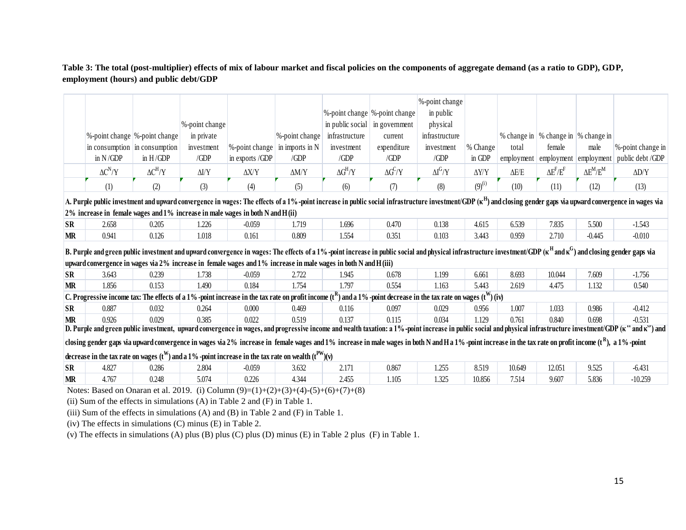**Table 3: The total (post-multiplier) effects of mix of labour market and fiscal policies on the components of aggregate demand (as a ratio to GDP), GDP, employment (hours) and public debt/GDP**

|           |                                                                                                                                                                                                                                             |                                |                |                 |                 |                |                                | %-point change |                  |              |                                         |                      |                                                                                                                                                                                                                                  |
|-----------|---------------------------------------------------------------------------------------------------------------------------------------------------------------------------------------------------------------------------------------------|--------------------------------|----------------|-----------------|-----------------|----------------|--------------------------------|----------------|------------------|--------------|-----------------------------------------|----------------------|----------------------------------------------------------------------------------------------------------------------------------------------------------------------------------------------------------------------------------|
|           |                                                                                                                                                                                                                                             |                                |                |                 |                 |                | %-point change  %-point change | in public      |                  |              |                                         |                      |                                                                                                                                                                                                                                  |
|           |                                                                                                                                                                                                                                             |                                | %-point change |                 |                 |                | in public social in government | physical       |                  |              |                                         |                      |                                                                                                                                                                                                                                  |
|           |                                                                                                                                                                                                                                             | %-point change  %-point change | in private     |                 | %-point change  | infrastructure | current                        | infrastructure |                  |              | % change in   % change in   % change in |                      |                                                                                                                                                                                                                                  |
|           |                                                                                                                                                                                                                                             | in consumption in consumption  | investment     | %-point change  | in imports in N | investment     | expenditure                    | investment     | % Change         | total        | female                                  | male                 | %-point change in                                                                                                                                                                                                                |
|           | in $N/GDP$                                                                                                                                                                                                                                  | in $H/GDP$                     | /GDP           | in exports /GDP | /GDP            | /GDP           | /GDP                           | /GDP           | in GDP           |              | employment employment employment        |                      | public debt /GDP                                                                                                                                                                                                                 |
|           | $\Delta C^N/Y$                                                                                                                                                                                                                              | $\Delta C^H/Y$                 | $\Delta I/Y$   | $\Delta$ X/Y    | $\Delta M/Y$    | $\Delta G^H/Y$ | $\Delta G^C/Y$                 | $\Delta I^G/Y$ | $\Delta Y\!/\!Y$ | $\Delta E/E$ | $\Delta E^F/E^F$                        | $\Delta E^{M}/E^{M}$ | $\Delta$ D/Y                                                                                                                                                                                                                     |
|           | (1)                                                                                                                                                                                                                                         | (2)                            | (3)            | (4)             | (5)             | (6)            | (7)                            | (8)            | $(9)^{(i)}$      | (10)         | (11)                                    | (12)                 | (13)                                                                                                                                                                                                                             |
|           |                                                                                                                                                                                                                                             |                                |                |                 |                 |                |                                |                |                  |              |                                         |                      | A. Purple public investment and upward convergence in wages: The effects of a 1% -point increase in public social infrastructure investment/GDP ( $\kappa^{\rm H}$ ) and closing gender gaps via upward convergence in wages via |
|           | $2\%$ increase in female wages and $1\%$ increase in male wages in both N and H(ii)                                                                                                                                                         |                                |                |                 |                 |                |                                |                |                  |              |                                         |                      |                                                                                                                                                                                                                                  |
| <b>SR</b> | 2.658                                                                                                                                                                                                                                       | 0.205                          | 1.226          | $-0.059$        | 1.719           | 1.696          | 0.470                          | 0.138          | 4.615            | 6.539        | 7.835                                   | 5.500                | $-1.543$                                                                                                                                                                                                                         |
| <b>MR</b> | 0.941                                                                                                                                                                                                                                       | 0.126                          | 1.018          | 0.161           | 0.809           | 1.554          | 0.351                          | 0.103          | 3.443            | 0.959        | 2.710                                   | $-0.445$             | $-0.010$                                                                                                                                                                                                                         |
|           | B. Purple and green public investment and upward convergence in wages: The effects of a 1% -point increase in public social and physical infrastructure investment/GDP ( $\kappa^{\rm H}$ and $\kappa^{\rm G}$ ) and closing gender gaps vi |                                |                |                 |                 |                |                                |                |                  |              |                                         |                      |                                                                                                                                                                                                                                  |
|           | upward convergence in wages via 2% increase in female wages and 1% increase in male wages in both N and H (iii)                                                                                                                             |                                |                |                 |                 |                |                                |                |                  |              |                                         |                      |                                                                                                                                                                                                                                  |
| <b>SR</b> | 3.643                                                                                                                                                                                                                                       | 0.239                          | 1.738          | $-0.059$        | 2.722           | 1.945          | 0.678                          | 1.199          | 6.661            | 8.693        | 10.044                                  | 7.609                | $-1.756$                                                                                                                                                                                                                         |
| <b>MR</b> | 1.856                                                                                                                                                                                                                                       | 0.153                          | 1.490          | 0.184           | 1.754           | 1.797          | 0.554                          | 1.163          | 5.443            | 2.619        | 4.475                                   | 1.132                | 0.540                                                                                                                                                                                                                            |
|           | C. Progressive income tax: The effects of a 1% -point increase in the tax rate on profit income $(t^R)$ and a 1% -point decrease in the tax rate on wages $(t^W)$ (iv)                                                                      |                                |                |                 |                 |                |                                |                |                  |              |                                         |                      |                                                                                                                                                                                                                                  |
| <b>SR</b> | 0.887                                                                                                                                                                                                                                       |                                |                |                 |                 |                |                                |                | 0.956            | 1.007        | 1.033                                   | 0.986                | $-0.412$                                                                                                                                                                                                                         |
|           |                                                                                                                                                                                                                                             | 0.032                          | 0.264          | 0.000           | 0.469           | 0.116          | 0.097                          | 0.029          |                  |              |                                         |                      |                                                                                                                                                                                                                                  |
| <b>MR</b> | 0.926                                                                                                                                                                                                                                       | 0.029                          | 0.385          | 0.022           | 0.519           | 0.137          | 0.115                          | 0.034          | 1.129            | 0.761        | 0.840                                   | 0.698                | $-0.531$                                                                                                                                                                                                                         |
|           |                                                                                                                                                                                                                                             |                                |                |                 |                 |                |                                |                |                  |              |                                         |                      | D. Purple and green public investment, upward convergence in wages, and progressive income and wealth taxation: a 1%-point increase in public social and physical infrastructure investment/GDP (k " and k") and                 |
|           | closing gender gaps via upward convergence in wages via 2% increase in female wages and 1% increase in both Mand Ha 1% -point increase in the tax rate on profit income (t <sup>R</sup> ), a 1% -point                                      |                                |                |                 |                 |                |                                |                |                  |              |                                         |                      |                                                                                                                                                                                                                                  |
|           |                                                                                                                                                                                                                                             |                                |                |                 |                 |                |                                |                |                  |              |                                         |                      |                                                                                                                                                                                                                                  |
| <b>SR</b> | decrease in the tax rate on wages ( $t^W$ ) and a 1% -point increase in the tax rate on wealth ( $t^{PW}$ )(v)<br>4.827                                                                                                                     | 0.286                          | 2.804          | $-0.059$        | 3.632           | 2.171          | 0.867                          | 1.255          | 8.519            | 10.649       | 12.051                                  | 9.525                | $-6.431$                                                                                                                                                                                                                         |
| <b>MR</b> | 4.767                                                                                                                                                                                                                                       | 0.248                          | 5.074          | 0.226           | 4.344           | 2.455          | 1.105                          | 1.325          | 10.856           | 7.514        | 9.607                                   | 5.836                | $-10.259$                                                                                                                                                                                                                        |

(ii) Sum of the effects in simulations (A) in Table 2 and (F) in Table 1.

(iii) Sum of the effects in simulations (A) and (B) in Table 2 and (F) in Table 1.

(iv) The effects in simulations (C) minus (E) in Table 2.

(v) The effects in simulations (A) plus (B) plus (C) plus (D) minus (E) in Table 2 plus (F) in Table 1.